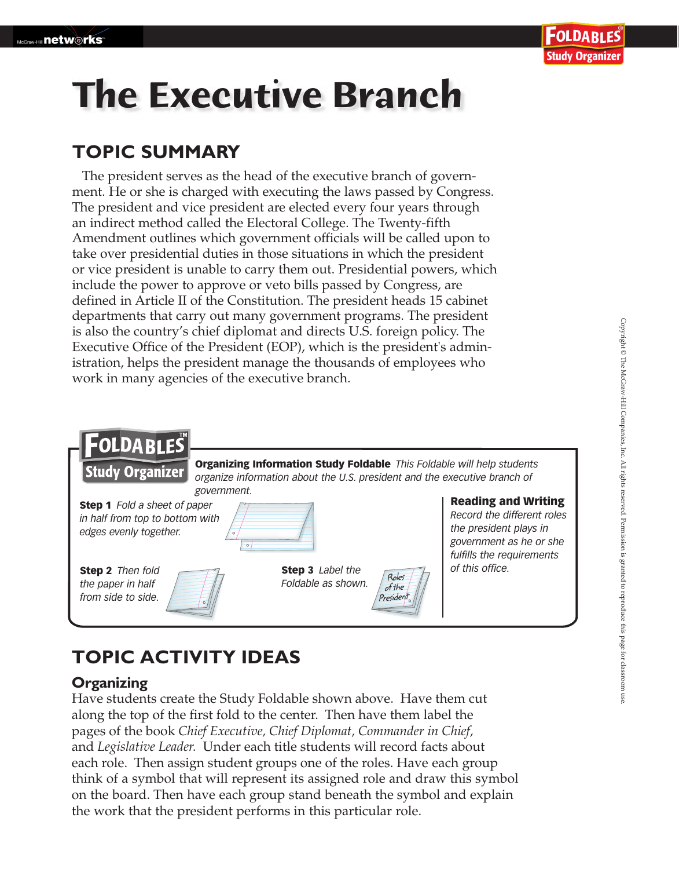# **The Executive Branch**

## **TOPIC SUMMARY**

The president serves as the head of the executive branch of government. He or she is charged with executing the laws passed by Congress. The president and vice president are elected every four years through an indirect method called the Electoral College. The Twenty-fifth Amendment outlines which government officials will be called upon to take over presidential duties in those situations in which the president or vice president is unable to carry them out. Presidential powers, which include the power to approve or veto bills passed by Congress, are defined in Article II of the Constitution. The president heads 15 cabinet departments that carry out many government programs. The president is also the country's chief diplomat and directs U.S. foreign policy. The Executive Office of the President (EOP), which is the president's administration, helps the president manage the thousands of employees who work in many agencies of the executive branch.



# **TOPIC ACTIVITY IDEAS**

## **Organizing**

Have students create the Study Foldable shown above. Have them cut along the top of the first fold to the center. Then have them label the pages of the book *Chief Executive, Chief Diplomat, Commander in Chief,* and *Legislative Leader.* Under each title students will record facts about each role. Then assign student groups one of the roles. Have each group think of a symbol that will represent its assigned role and draw this symbol on the board. Then have each group stand beneath the symbol and explain the work that the president performs in this particular role.